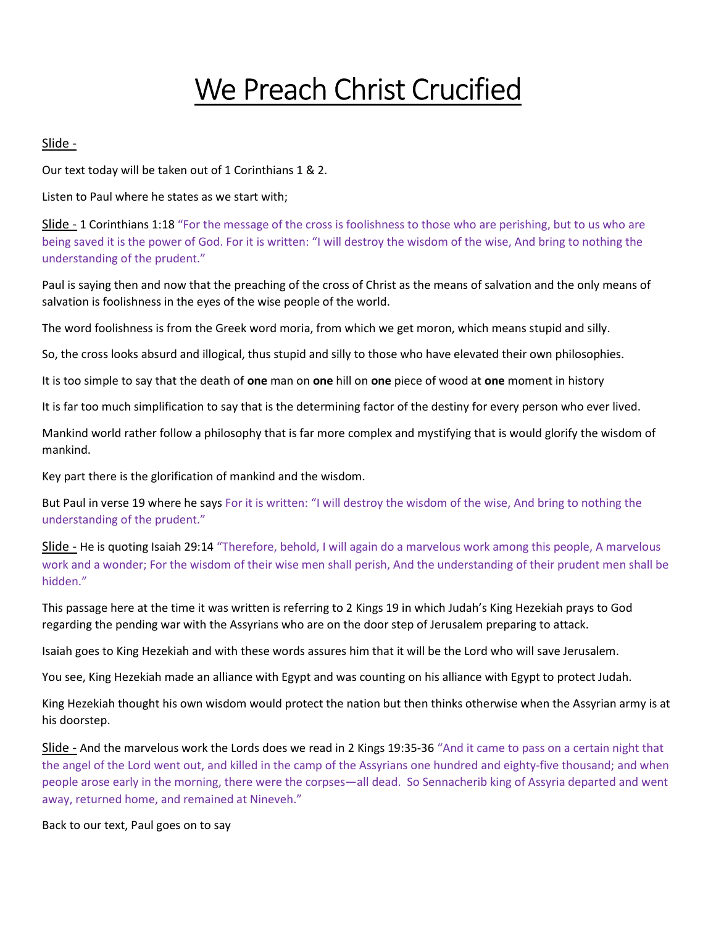## We Preach Christ Crucified

## Slide -

Our text today will be taken out of 1 Corinthians 1 & 2.

Listen to Paul where he states as we start with;

Slide - 1 Corinthians 1:18 "For the message of the cross is foolishness to those who are perishing, but to us who are being saved it is the power of God. For it is written: "I will destroy the wisdom of the wise, And bring to nothing the understanding of the prudent."

Paul is saying then and now that the preaching of the cross of Christ as the means of salvation and the only means of salvation is foolishness in the eyes of the wise people of the world.

The word foolishness is from the Greek word moria, from which we get moron, which means stupid and silly.

So, the cross looks absurd and illogical, thus stupid and silly to those who have elevated their own philosophies.

It is too simple to say that the death of one man on one hill on one piece of wood at one moment in history

It is far too much simplification to say that is the determining factor of the destiny for every person who ever lived.

Mankind world rather follow a philosophy that is far more complex and mystifying that is would glorify the wisdom of mankind.

Key part there is the glorification of mankind and the wisdom.

But Paul in verse 19 where he says For it is written: "I will destroy the wisdom of the wise, And bring to nothing the understanding of the prudent."

Slide - He is quoting Isaiah 29:14 "Therefore, behold, I will again do a marvelous work among this people, A marvelous work and a wonder; For the wisdom of their wise men shall perish, And the understanding of their prudent men shall be hidden."

This passage here at the time it was written is referring to 2 Kings 19 in which Judah's King Hezekiah prays to God regarding the pending war with the Assyrians who are on the door step of Jerusalem preparing to attack.

Isaiah goes to King Hezekiah and with these words assures him that it will be the Lord who will save Jerusalem.

You see, King Hezekiah made an alliance with Egypt and was counting on his alliance with Egypt to protect Judah.

King Hezekiah thought his own wisdom would protect the nation but then thinks otherwise when the Assyrian army is at his doorstep.

Slide - And the marvelous work the Lords does we read in 2 Kings 19:35-36 "And it came to pass on a certain night that the angel of the Lord went out, and killed in the camp of the Assyrians one hundred and eighty-five thousand; and when people arose early in the morning, there were the corpses—all dead. So Sennacherib king of Assyria departed and went away, returned home, and remained at Nineveh."

Back to our text, Paul goes on to say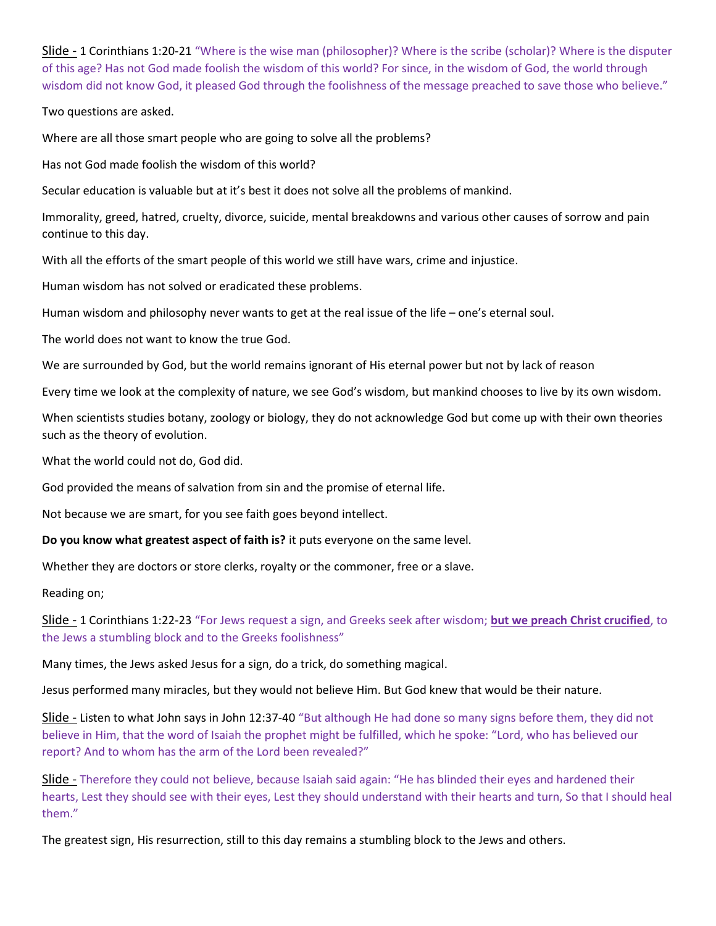Slide - 1 Corinthians 1:20-21 "Where is the wise man (philosopher)? Where is the scribe (scholar)? Where is the disputer of this age? Has not God made foolish the wisdom of this world? For since, in the wisdom of God, the world through wisdom did not know God, it pleased God through the foolishness of the message preached to save those who believe."

## Two questions are asked.

Where are all those smart people who are going to solve all the problems?

Has not God made foolish the wisdom of this world?

Secular education is valuable but at it's best it does not solve all the problems of mankind.

Immorality, greed, hatred, cruelty, divorce, suicide, mental breakdowns and various other causes of sorrow and pain continue to this day.

With all the efforts of the smart people of this world we still have wars, crime and injustice.

Human wisdom has not solved or eradicated these problems.

Human wisdom and philosophy never wants to get at the real issue of the life – one's eternal soul.

The world does not want to know the true God.

We are surrounded by God, but the world remains ignorant of His eternal power but not by lack of reason

Every time we look at the complexity of nature, we see God's wisdom, but mankind chooses to live by its own wisdom.

When scientists studies botany, zoology or biology, they do not acknowledge God but come up with their own theories such as the theory of evolution.

What the world could not do, God did.

God provided the means of salvation from sin and the promise of eternal life.

Not because we are smart, for you see faith goes beyond intellect.

Do you know what greatest aspect of faith is? it puts everyone on the same level.

Whether they are doctors or store clerks, royalty or the commoner, free or a slave.

Reading on;

Slide - 1 Corinthians 1:22-23 "For Jews request a sign, and Greeks seek after wisdom; but we preach Christ crucified, to the Jews a stumbling block and to the Greeks foolishness"

Many times, the Jews asked Jesus for a sign, do a trick, do something magical.

Jesus performed many miracles, but they would not believe Him. But God knew that would be their nature.

Slide - Listen to what John says in John 12:37-40 "But although He had done so many signs before them, they did not believe in Him, that the word of Isaiah the prophet might be fulfilled, which he spoke: "Lord, who has believed our report? And to whom has the arm of the Lord been revealed?"

Slide - Therefore they could not believe, because Isaiah said again: "He has blinded their eyes and hardened their hearts, Lest they should see with their eyes, Lest they should understand with their hearts and turn, So that I should heal them."

The greatest sign, His resurrection, still to this day remains a stumbling block to the Jews and others.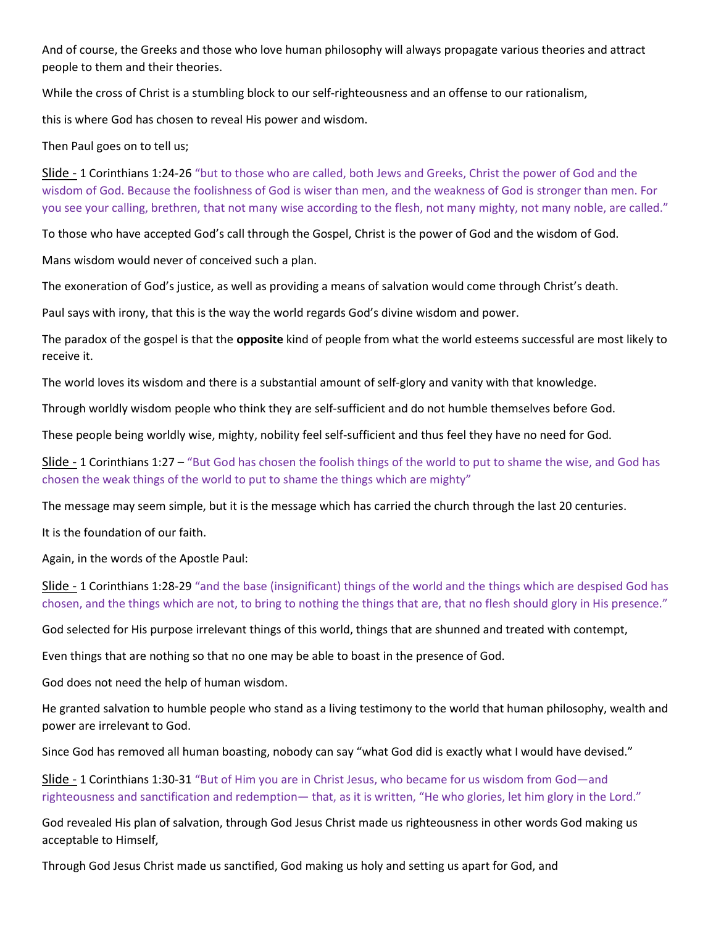And of course, the Greeks and those who love human philosophy will always propagate various theories and attract people to them and their theories.

While the cross of Christ is a stumbling block to our self-righteousness and an offense to our rationalism,

this is where God has chosen to reveal His power and wisdom.

Then Paul goes on to tell us;

Slide - 1 Corinthians 1:24-26 "but to those who are called, both Jews and Greeks, Christ the power of God and the wisdom of God. Because the foolishness of God is wiser than men, and the weakness of God is stronger than men. For you see your calling, brethren, that not many wise according to the flesh, not many mighty, not many noble, are called."

To those who have accepted God's call through the Gospel, Christ is the power of God and the wisdom of God.

Mans wisdom would never of conceived such a plan.

The exoneration of God's justice, as well as providing a means of salvation would come through Christ's death.

Paul says with irony, that this is the way the world regards God's divine wisdom and power.

The paradox of the gospel is that the **opposite** kind of people from what the world esteems successful are most likely to receive it.

The world loves its wisdom and there is a substantial amount of self-glory and vanity with that knowledge.

Through worldly wisdom people who think they are self-sufficient and do not humble themselves before God.

These people being worldly wise, mighty, nobility feel self-sufficient and thus feel they have no need for God.

Slide - 1 Corinthians 1:27 – "But God has chosen the foolish things of the world to put to shame the wise, and God has chosen the weak things of the world to put to shame the things which are mighty"

The message may seem simple, but it is the message which has carried the church through the last 20 centuries.

It is the foundation of our faith.

Again, in the words of the Apostle Paul:

Slide - 1 Corinthians 1:28-29 "and the base (insignificant) things of the world and the things which are despised God has chosen, and the things which are not, to bring to nothing the things that are, that no flesh should glory in His presence."

God selected for His purpose irrelevant things of this world, things that are shunned and treated with contempt,

Even things that are nothing so that no one may be able to boast in the presence of God.

God does not need the help of human wisdom.

He granted salvation to humble people who stand as a living testimony to the world that human philosophy, wealth and power are irrelevant to God.

Since God has removed all human boasting, nobody can say "what God did is exactly what I would have devised."

Slide - 1 Corinthians 1:30-31 "But of Him you are in Christ Jesus, who became for us wisdom from God—and righteousness and sanctification and redemption— that, as it is written, "He who glories, let him glory in the Lord."

God revealed His plan of salvation, through God Jesus Christ made us righteousness in other words God making us acceptable to Himself,

Through God Jesus Christ made us sanctified, God making us holy and setting us apart for God, and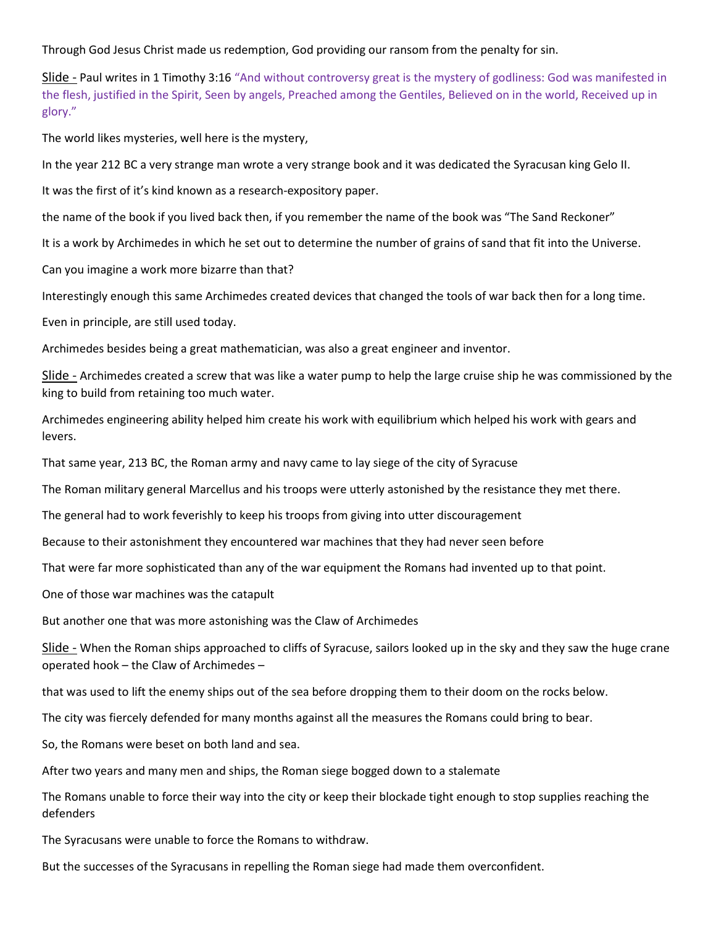Through God Jesus Christ made us redemption, God providing our ransom from the penalty for sin.

Slide - Paul writes in 1 Timothy 3:16 "And without controversy great is the mystery of godliness: God was manifested in the flesh, justified in the Spirit, Seen by angels, Preached among the Gentiles, Believed on in the world, Received up in glory."

The world likes mysteries, well here is the mystery,

In the year 212 BC a very strange man wrote a very strange book and it was dedicated the Syracusan king Gelo II.

It was the first of it's kind known as a research-expository paper.

the name of the book if you lived back then, if you remember the name of the book was "The Sand Reckoner"

It is a work by Archimedes in which he set out to determine the number of grains of sand that fit into the Universe.

Can you imagine a work more bizarre than that?

Interestingly enough this same Archimedes created devices that changed the tools of war back then for a long time.

Even in principle, are still used today.

Archimedes besides being a great mathematician, was also a great engineer and inventor.

Slide - Archimedes created a screw that was like a water pump to help the large cruise ship he was commissioned by the king to build from retaining too much water.

Archimedes engineering ability helped him create his work with equilibrium which helped his work with gears and levers.

That same year, 213 BC, the Roman army and navy came to lay siege of the city of Syracuse

The Roman military general Marcellus and his troops were utterly astonished by the resistance they met there.

The general had to work feverishly to keep his troops from giving into utter discouragement

Because to their astonishment they encountered war machines that they had never seen before

That were far more sophisticated than any of the war equipment the Romans had invented up to that point.

One of those war machines was the catapult

But another one that was more astonishing was the Claw of Archimedes

Slide - When the Roman ships approached to cliffs of Syracuse, sailors looked up in the sky and they saw the huge crane operated hook – the Claw of Archimedes –

that was used to lift the enemy ships out of the sea before dropping them to their doom on the rocks below.

The city was fiercely defended for many months against all the measures the Romans could bring to bear.

So, the Romans were beset on both land and sea.

After two years and many men and ships, the Roman siege bogged down to a stalemate

The Romans unable to force their way into the city or keep their blockade tight enough to stop supplies reaching the defenders

The Syracusans were unable to force the Romans to withdraw.

But the successes of the Syracusans in repelling the Roman siege had made them overconfident.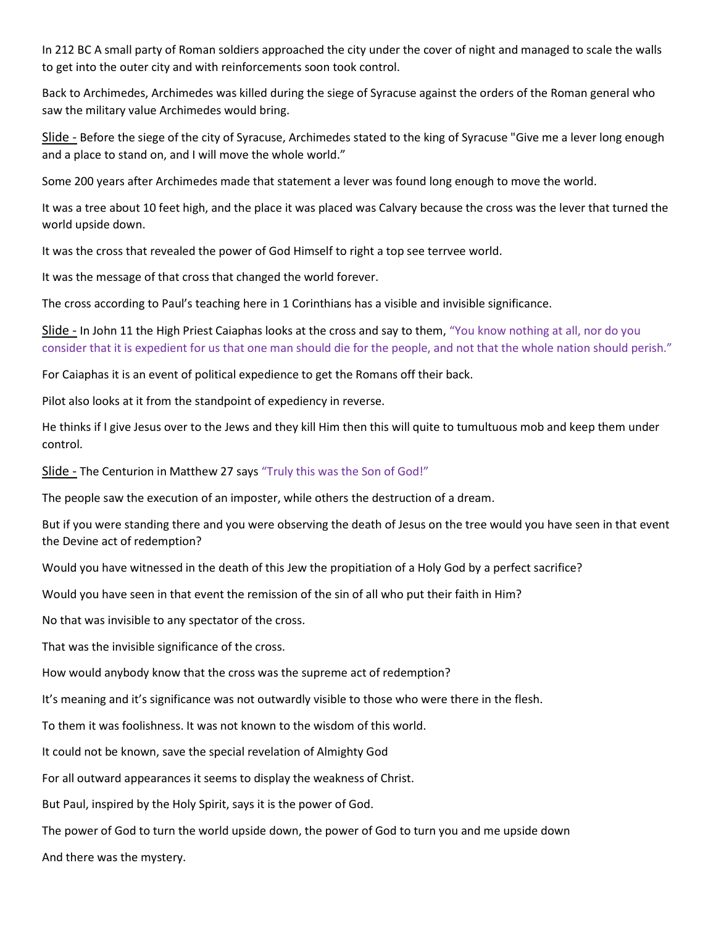In 212 BC A small party of Roman soldiers approached the city under the cover of night and managed to scale the walls to get into the outer city and with reinforcements soon took control.

Back to Archimedes, Archimedes was killed during the siege of Syracuse against the orders of the Roman general who saw the military value Archimedes would bring.

Slide - Before the siege of the city of Syracuse, Archimedes stated to the king of Syracuse "Give me a lever long enough and a place to stand on, and I will move the whole world."

Some 200 years after Archimedes made that statement a lever was found long enough to move the world.

It was a tree about 10 feet high, and the place it was placed was Calvary because the cross was the lever that turned the world upside down.

It was the cross that revealed the power of God Himself to right a top see terrvee world.

It was the message of that cross that changed the world forever.

The cross according to Paul's teaching here in 1 Corinthians has a visible and invisible significance.

Slide - In John 11 the High Priest Caiaphas looks at the cross and say to them, "You know nothing at all, nor do you consider that it is expedient for us that one man should die for the people, and not that the whole nation should perish."

For Caiaphas it is an event of political expedience to get the Romans off their back.

Pilot also looks at it from the standpoint of expediency in reverse.

He thinks if I give Jesus over to the Jews and they kill Him then this will quite to tumultuous mob and keep them under control.

Slide - The Centurion in Matthew 27 says "Truly this was the Son of God!"

The people saw the execution of an imposter, while others the destruction of a dream.

But if you were standing there and you were observing the death of Jesus on the tree would you have seen in that event the Devine act of redemption?

Would you have witnessed in the death of this Jew the propitiation of a Holy God by a perfect sacrifice?

Would you have seen in that event the remission of the sin of all who put their faith in Him?

No that was invisible to any spectator of the cross.

That was the invisible significance of the cross.

How would anybody know that the cross was the supreme act of redemption?

It's meaning and it's significance was not outwardly visible to those who were there in the flesh.

To them it was foolishness. It was not known to the wisdom of this world.

It could not be known, save the special revelation of Almighty God

For all outward appearances it seems to display the weakness of Christ.

But Paul, inspired by the Holy Spirit, says it is the power of God.

The power of God to turn the world upside down, the power of God to turn you and me upside down

And there was the mystery.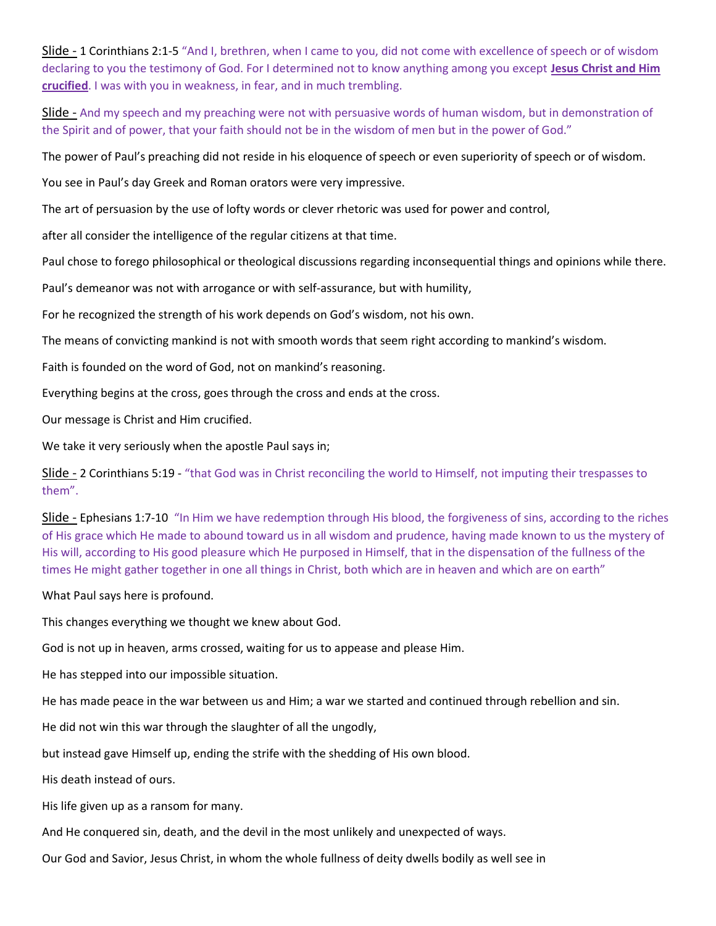Slide - 1 Corinthians 2:1-5 "And I, brethren, when I came to you, did not come with excellence of speech or of wisdom declaring to you the testimony of God. For I determined not to know anything among you except Jesus Christ and Him crucified. I was with you in weakness, in fear, and in much trembling.

Slide - And my speech and my preaching were not with persuasive words of human wisdom, but in demonstration of the Spirit and of power, that your faith should not be in the wisdom of men but in the power of God."

The power of Paul's preaching did not reside in his eloquence of speech or even superiority of speech or of wisdom.

You see in Paul's day Greek and Roman orators were very impressive.

The art of persuasion by the use of lofty words or clever rhetoric was used for power and control,

after all consider the intelligence of the regular citizens at that time.

Paul chose to forego philosophical or theological discussions regarding inconsequential things and opinions while there.

Paul's demeanor was not with arrogance or with self-assurance, but with humility,

For he recognized the strength of his work depends on God's wisdom, not his own.

The means of convicting mankind is not with smooth words that seem right according to mankind's wisdom.

Faith is founded on the word of God, not on mankind's reasoning.

Everything begins at the cross, goes through the cross and ends at the cross.

Our message is Christ and Him crucified.

We take it very seriously when the apostle Paul says in;

Slide - 2 Corinthians 5:19 - "that God was in Christ reconciling the world to Himself, not imputing their trespasses to them".

Slide - Ephesians 1:7-10 "In Him we have redemption through His blood, the forgiveness of sins, according to the riches of His grace which He made to abound toward us in all wisdom and prudence, having made known to us the mystery of His will, according to His good pleasure which He purposed in Himself, that in the dispensation of the fullness of the times He might gather together in one all things in Christ, both which are in heaven and which are on earth"

What Paul says here is profound.

This changes everything we thought we knew about God.

God is not up in heaven, arms crossed, waiting for us to appease and please Him.

He has stepped into our impossible situation.

He has made peace in the war between us and Him; a war we started and continued through rebellion and sin.

He did not win this war through the slaughter of all the ungodly,

but instead gave Himself up, ending the strife with the shedding of His own blood.

His death instead of ours.

His life given up as a ransom for many.

And He conquered sin, death, and the devil in the most unlikely and unexpected of ways.

Our God and Savior, Jesus Christ, in whom the whole fullness of deity dwells bodily as well see in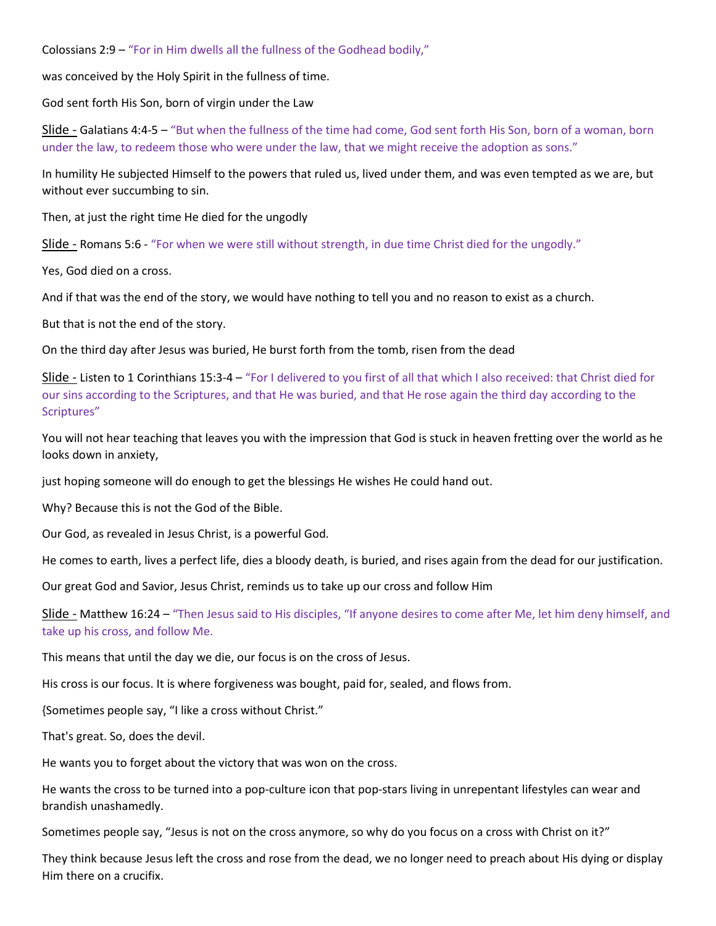Colossians 2:9 – "For in Him dwells all the fullness of the Godhead bodily,"

was conceived by the Holy Spirit in the fullness of time.

God sent forth His Son, born of virgin under the Law

Slide - Galatians 4:4-5 – "But when the fullness of the time had come, God sent forth His Son, born of a woman, born under the law, to redeem those who were under the law, that we might receive the adoption as sons."

In humility He subjected Himself to the powers that ruled us, lived under them, and was even tempted as we are, but without ever succumbing to sin.

Then, at just the right time He died for the ungodly

Slide - Romans 5:6 - "For when we were still without strength, in due time Christ died for the ungodly."

Yes, God died on a cross.

And if that was the end of the story, we would have nothing to tell you and no reason to exist as a church.

But that is not the end of the story.

On the third day after Jesus was buried, He burst forth from the tomb, risen from the dead

Slide - Listen to 1 Corinthians 15:3-4 – "For I delivered to you first of all that which I also received: that Christ died for our sins according to the Scriptures, and that He was buried, and that He rose again the third day according to the Scriptures"

You will not hear teaching that leaves you with the impression that God is stuck in heaven fretting over the world as he looks down in anxiety,

just hoping someone will do enough to get the blessings He wishes He could hand out.

Why? Because this is not the God of the Bible.

Our God, as revealed in Jesus Christ, is a powerful God.

He comes to earth, lives a perfect life, dies a bloody death, is buried, and rises again from the dead for our justification.

Our great God and Savior, Jesus Christ, reminds us to take up our cross and follow Him

Slide - Matthew 16:24 – "Then Jesus said to His disciples, "If anyone desires to come after Me, let him deny himself, and take up his cross, and follow Me.

This means that until the day we die, our focus is on the cross of Jesus.

His cross is our focus. It is where forgiveness was bought, paid for, sealed, and flows from.

{Sometimes people say, "I like a cross without Christ."

That's great. So, does the devil.

He wants you to forget about the victory that was won on the cross.

He wants the cross to be turned into a pop-culture icon that pop-stars living in unrepentant lifestyles can wear and brandish unashamedly.

Sometimes people say, "Jesus is not on the cross anymore, so why do you focus on a cross with Christ on it?"

They think because Jesus left the cross and rose from the dead, we no longer need to preach about His dying or display Him there on a crucifix.